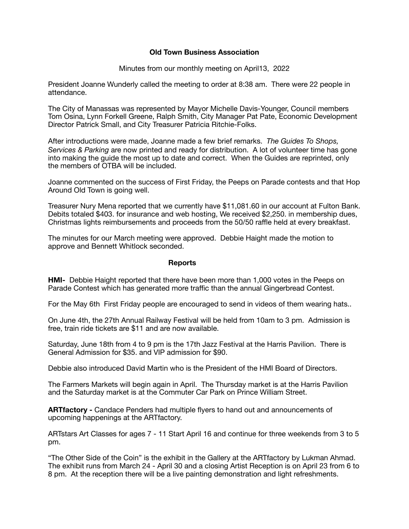## **Old Town Business Association**

Minutes from our monthly meeting on April13, 2022

President Joanne Wunderly called the meeting to order at 8:38 am. There were 22 people in attendance.

The City of Manassas was represented by Mayor Michelle Davis-Younger, Council members Tom Osina, Lynn Forkell Greene, Ralph Smith, City Manager Pat Pate, Economic Development Director Patrick Small, and City Treasurer Patricia Ritchie-Folks.

After introductions were made, Joanne made a few brief remarks. *The Guides To Shops, Services & Parking* are now printed and ready for distribution. A lot of volunteer time has gone into making the guide the most up to date and correct. When the Guides are reprinted, only the members of OTBA will be included.

Joanne commented on the success of First Friday, the Peeps on Parade contests and that Hop Around Old Town is going well.

Treasurer Nury Mena reported that we currently have \$11,081.60 in our account at Fulton Bank. Debits totaled \$403. for insurance and web hosting, We received \$2,250. in membership dues, Christmas lights reimbursements and proceeds from the 50/50 raffle held at every breakfast.

The minutes for our March meeting were approved. Debbie Haight made the motion to approve and Bennett Whitlock seconded.

## **Reports**

**HMI-** Debbie Haight reported that there have been more than 1,000 votes in the Peeps on Parade Contest which has generated more traffic than the annual Gingerbread Contest.

For the May 6th First Friday people are encouraged to send in videos of them wearing hats..

On June 4th, the 27th Annual Railway Festival will be held from 10am to 3 pm. Admission is free, train ride tickets are \$11 and are now available.

Saturday, June 18th from 4 to 9 pm is the 17th Jazz Festival at the Harris Pavilion. There is General Admission for \$35. and VIP admission for \$90.

Debbie also introduced David Martin who is the President of the HMI Board of Directors.

The Farmers Markets will begin again in April. The Thursday market is at the Harris Pavilion and the Saturday market is at the Commuter Car Park on Prince William Street.

**ARTfactory -** Candace Penders had multiple flyers to hand out and announcements of upcoming happenings at the ARTfactory.

ARTstars Art Classes for ages 7 - 11 Start April 16 and continue for three weekends from 3 to 5 pm.

"The Other Side of the Coin" is the exhibit in the Gallery at the ARTfactory by Lukman Ahmad. The exhibit runs from March 24 - April 30 and a closing Artist Reception is on April 23 from 6 to 8 pm. At the reception there will be a live painting demonstration and light refreshments.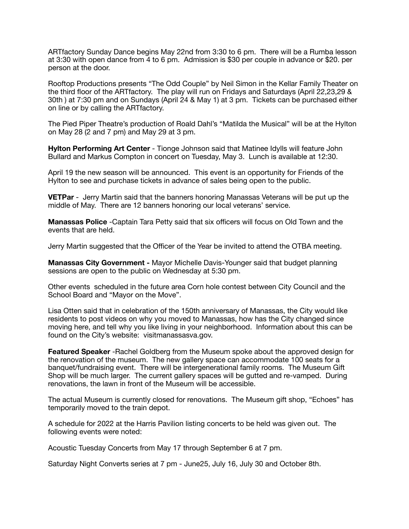ARTfactory Sunday Dance begins May 22nd from 3:30 to 6 pm. There will be a Rumba lesson at 3:30 with open dance from 4 to 6 pm. Admission is \$30 per couple in advance or \$20. per person at the door.

Rooftop Productions presents "The Odd Couple" by Neil Simon in the Kellar Family Theater on the third floor of the ARTfactory. The play will run on Fridays and Saturdays (April 22,23,29 & 30th ) at 7:30 pm and on Sundays (April 24 & May 1) at 3 pm. Tickets can be purchased either on line or by calling the ARTfactory.

The Pied Piper Theatre's production of Roald Dahl's "Matilda the Musical" will be at the Hylton on May 28 (2 and 7 pm) and May 29 at 3 pm.

**Hylton Performing Art Center** - Tionge Johnson said that Matinee Idylls will feature John Bullard and Markus Compton in concert on Tuesday, May 3. Lunch is available at 12:30.

April 19 the new season will be announced. This event is an opportunity for Friends of the Hylton to see and purchase tickets in advance of sales being open to the public.

**VETPar** - Jerry Martin said that the banners honoring Manassas Veterans will be put up the middle of May. There are 12 banners honoring our local veterans' service.

**Manassas Police** -Captain Tara Petty said that six officers will focus on Old Town and the events that are held.

Jerry Martin suggested that the Officer of the Year be invited to attend the OTBA meeting.

**Manassas City Government -** Mayor Michelle Davis-Younger said that budget planning sessions are open to the public on Wednesday at 5:30 pm.

Other events scheduled in the future area Corn hole contest between City Council and the School Board and "Mayor on the Move".

Lisa Otten said that in celebration of the 150th anniversary of Manassas, the City would like residents to post videos on why you moved to Manassas, how has the City changed since moving here, and tell why you like living in your neighborhood. Information about this can be found on the City's website: visitmanassasva.gov.

**Featured Speaker** -Rachel Goldberg from the Museum spoke about the approved design for the renovation of the museum. The new gallery space can accommodate 100 seats for a banquet/fundraising event. There will be intergenerational family rooms. The Museum Gift Shop will be much larger. The current gallery spaces will be gutted and re-vamped. During renovations, the lawn in front of the Museum will be accessible.

The actual Museum is currently closed for renovations. The Museum gift shop, "Echoes" has temporarily moved to the train depot.

A schedule for 2022 at the Harris Pavilion listing concerts to be held was given out. The following events were noted:

Acoustic Tuesday Concerts from May 17 through September 6 at 7 pm.

Saturday Night Converts series at 7 pm - June25, July 16, July 30 and October 8th.